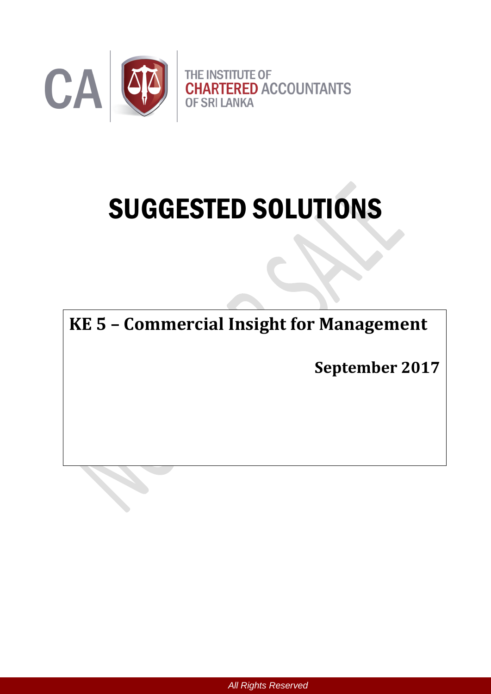

# SUGGESTED SOLUTIONS

**KE 5 – Commercial Insight for Management**

**September 2017**

*All Rights Reserved*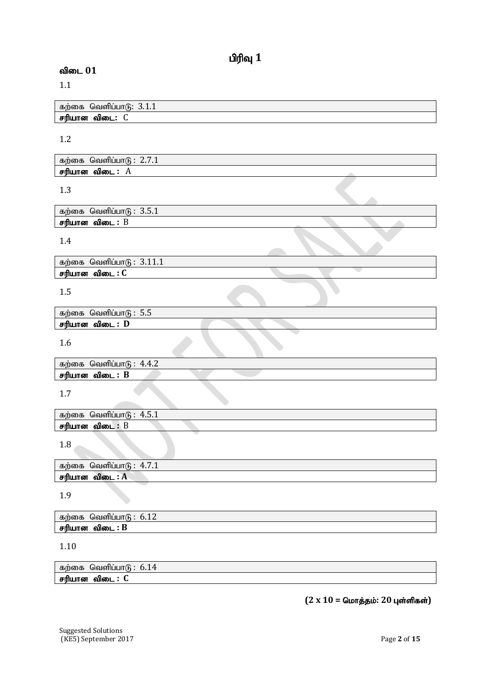## $\mathbf{u}$ ரிவு  $\mathbf{1}$

## $\omega$ விடை  $01$

1.1

கற்கை வெளிப்பாடு:  $3.1.1$ ்.<br>சரியான விடை: C

1.2

| கற்கை வெளிப்பாடு: $2.7.1$ |  |  |  |
|---------------------------|--|--|--|
| சரியான விடை : $A$         |  |  |  |

1.3

| கற்கை வெளிப்பாடு : $3.5.1$       |  |
|----------------------------------|--|
| சரியான விடை : $\operatorname{B}$ |  |
|                                  |  |

1.4

கற்கை வெளிப்பா $6: 3.11.1$ **.**<br>சரியான விடை : C

1.5

| கற்கை<br>ບ.ບ            |  |
|-------------------------|--|
| சரியான<br>விடை :<br>- D |  |
|                         |  |

1.6

| கற்கை<br><del>പ</del><br>$\overline{ }$<br>1 I 6<br>'olh<br>1.T.4 |  |
|-------------------------------------------------------------------|--|
| md<br>LIT OO<br>വിബ<br>В                                          |  |
|                                                                   |  |

1.7

|                               | கற்கை வெளிப்பாடு : $4.5.1$ |  |  |
|-------------------------------|----------------------------|--|--|
| சரியான விடை : $\, {\bf B} \,$ |                            |  |  |
|                               |                            |  |  |

1.8

| கற்கை வெளிப்பா $6: 4.7.1$ |  |
|---------------------------|--|
| சரியான விடை : A           |  |

1.9

| கற்கை | പ്രഖണ്ഡ<br>.<br>. |
|-------|-------------------|
| பான   | : ĸ               |
| 平面化   | והמו              |

1.10

| $\mathbf{r}$<br>~~<br>'''160)ക<br>ന്ദ്ര<br>ື | <u> เอเชาเชนเน แ</u><br>---- |
|----------------------------------------------|------------------------------|
| ---<br>. 60                                  | വെഞ                          |

 $(2 \times 10 =$  மொத்தம்: 20 புள்ளிகள்)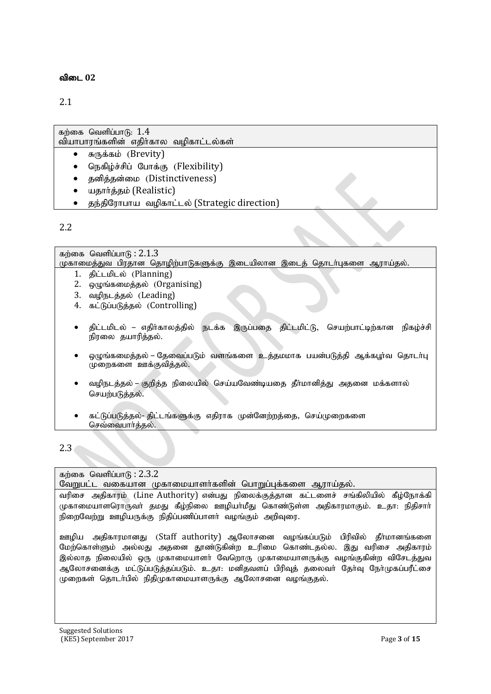## 2.1

| கற்கை வெளிப்பாடு: $1.4$               |  |
|---------------------------------------|--|
| வியாபாரங்களின் எதிர்கால வழிகாட்டல்கள் |  |

- $\bullet$   $\sigma$ <sub>(</sub> $\ddot{\sigma}$ , $\ddot{\sigma}$ ) (Brevity)
- நெகிழ்ச்சிப் போக்கு (Flexibility)
- தனித்தன்மை (Distinctiveness)
- யதார்த்தம் (Realistic)
- தந்திரோபாய வழிகாட்டல் (Strategic direction)

## 2.2

கற்கை வெளிப்பா $f<sub>B</sub>: 2.1.3$ முகாமைத்துவ பிரதான தொழிற்பாடுகளுக்கு இடையிலான இடைத் தொடா்புகளை ஆராய்தல். 1. திட்டமிடல் (Planning) 2.  $Q(\psi)$ ங்கமைத்தல் (Organising) 3. வழிநடத்தல் (Leading) 4. கட்டுப்படுக்கல் (Controlling) திட்டமிடல் – எதிர்காலத்தில் நடக்க இருப்பதை திட்டமிட்டு, செயற்பாட்டிற்கான நிகழ்ச்சி நிரலை தயாரித்தல். ஒழுங்கமைத்தல் – தேவைப்படும் வளங்களை உத்தமமாக பயன்படுத்தி ஆக்கபூர்வ தொடர்பு  $\widetilde{\Phi}$ முறைகளை ஊக்குவித்தல். வழிநடத்தல் – குறித்த நிலையில் செய்யவேண்டியதை தீர்மானித்து அதனை மக்களால் செயற்படுத்தல். கட்டுப்படுத்தல்- திட்டங்களுக்கு எதிராக முன்னேற்றத்தை, செய்முறைகளை செவ்வைபார்த்தல்.

## 2.3

#### கற்கை வெளிப்பா $6: 2.3.2$

வேறுபட்ட வகையான முகாமையாளர்களின் பொறுப்புக்களை ஆராய்தல்.

வரிசை அதிகாரம் (Line Authority) என்பது நிலைக்குத்தான கட்டளைச் சங்கிலியில் கீழ்நோக்கி முகாமையாளரொருவா் தமது கீழ்நிலை ஊழியா்மீது கொண்டுள்ள அதிகாரமாகும். உதா: நிதிசாா் நிறைவேற்று ஊழியருக்கு நிதிப்பணிப்பாளர் வழங்கும் அறிவுரை.

ஊழிய அதிகாரமானது (Staff authority) ஆலோசனை வழங்கப்படும் பிரிவில் தீா்மானங்களை மேற்கொள்ளும் அல்லது அதனை தூண்டுகின்ற உரிமை கொண்டதல்ல. இது வரிசை அதிகாரம் இல்லாத நிலையில் ஒரு முகாமையாளர் வேறொரு முகாமையாளருக்கு வழங்குகின்ற விசேடத்துவ ஆலோசனைக்கு மட்டுப்படுத்தப்படும். உதா: மனிதவளப் பிரிவுத் தலைவர் தேர்வு நேர்முகப்பரீட்சை முறைகள் தொடர்பில் நிதிமுகாமையாளருக்கு ஆலோசனை வழங்குதல்.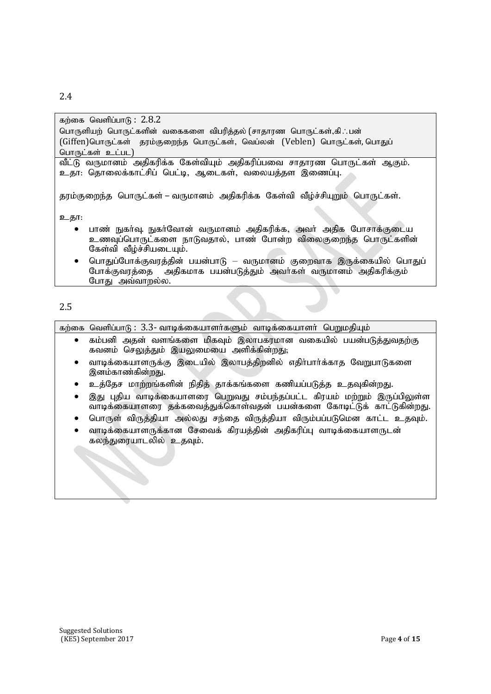#### 2.4

| கற்கை வெளிப்பாடு: $2.8.2$                                                      |
|--------------------------------------------------------------------------------|
| பொருளியற் பொருட்களின் வகைகளை விபரித்தல் (சாதாரண பொருட்கள்,கி∴பன்               |
| (Giffen)பொருட்கள் தரம்குறைந்த பொருட்கள், வெப்லன் (Veblen) பொருட்கள், பொதுப்    |
| பொருட்கள் உட்பட)                                                               |
| வீட்டு வருமானம் அதிகரிக்க கேள்வியும் அதிகரிப்பவை சாதாரண பொருட்கள் ஆகும்.       |
| உதா: தொலைக்காட்சிப் பெட்டி, ஆடைகள், வலையத்தள இணைப்பு.                          |
|                                                                                |
| தரம்குறைந்த பொருட்கள் – வருமானம் அதிகரிக்க கேள்வி வீழ்ச்சியுறும் பொருட்கள்.    |
|                                                                                |
| உதா:                                                                           |
| பாண் நுகா்வு. நுகா்வோன் வருமானம் அதிகரிக்க, அவா் அதிக போசாக்குடைய<br>$\bullet$ |
| உணவுப்பொருட்களை நாடுவதால், பாண் போன்ற விலைகுறைந்த பொருட்களின்                  |
| கேள்வி வீழ்ச்சியடையும்.                                                        |

பொதுப்போக்குவரத்தின் பயன்பாடு – வருமானம் குறைவாக இருக்கையில் பொதுப் போக்குவரத்தை அதிகமாக பயன்படுத்தும் அவர்கள் வருமானம் அதிகரிக்கும் போது அவ்வாறல்ல.

## 2.5

 $\pi$ ற்கை வெளிப்பாடு:  $3.3$ - வாடிக்கையாளர்களும் வாடிக்கையாளர் பெறுமதியும்

- கம்பனி அதன் வளங்களை மிகவும் இலாபகரமான வகையில் பயன்படுத்துவதற்கு கவனம் செலுத்தும் இயலுமையை அளிக்கின்றது;
- வாடிக்கையாளருக்கு இடையில் இலாபத்திறனில் எதிர்பார்க்காத வேறுபாடுகளை இனம்காண்கின்றது.
- உத்தேச மாற்றங்களின் நிதித் தாக்கங்களை கணியப்படுத்த உதவுகின்றது.
- இது புதிய வாடிக்கையாளரை பெறுவது சம்பந்தப்பட்ட கிரயம் மற்றும் இருப்பிலுள்ள thbf;ifahsiu jf;fitj;Jf;nfhs;tjd ; gad ;fis Nfhbl;Lf; fhl;Lfpd ;wJ.
- பொருள் விருத்தியா அல்லது சந்தை விருத்தியா விரும்பப்படுமென காட்ட உதவும்.
- வாடிக்கையாளருக்கான சேவைக் கிாயக்கின் அகிகரிப்ப வாடிக்கையாளருடன் கலந்துரையாடலில் உதவும்.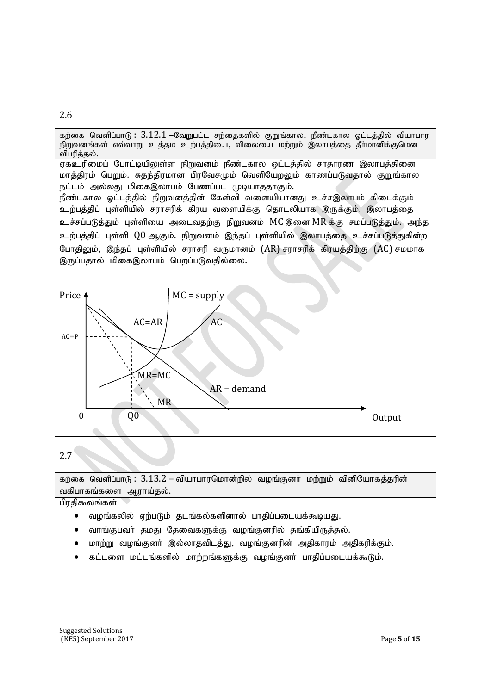

## 2.7

கற்கை வெளிப்பாடு $: 3.13.2$  – வியாபாரமொன்றில் வழங்குனர் மற்றும் வினியோகத்தரின் வகிபாகங்களை ஆராய்தல்.

பிரதிகூலங்கள்

- வழங்கலில் ஏற்படும் தடங்கல்களினால் பாதிப்படையக்கூடியது.
- வாங்குபவர் தமது தேவைகளுக்கு வழங்குனரில் தங்கியிருத்தல்.
- மாற்று வழங்குனர் இல்லாதவிடத்து, வழங்குனரின் அதிகாரம் அதிகரிக்கும்.
- கட்டளை மட்டங்களில் மாற்றங்களுக்கு வழங்குனா் பாதிப்படையக்கூடும்.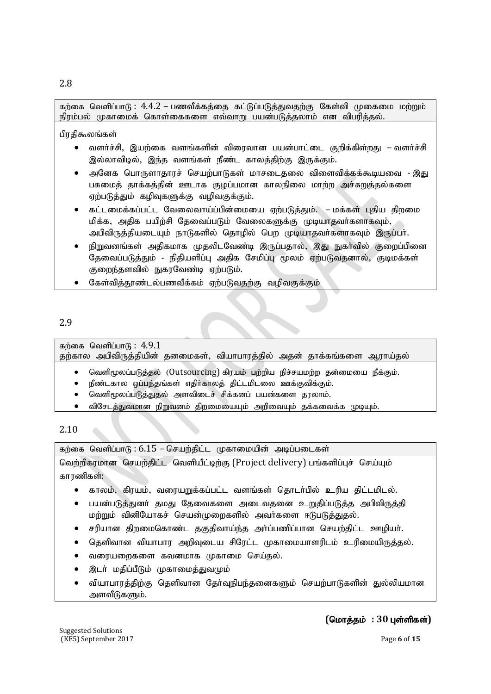## 2.8

கற்கை வெளிப்பாடு:  $4.4.2$  – பணவீக்கத்தை கட்டுப்படுத்துவதற்கு கேள்வி முகைமை மற்றும் நிரம்பல் முகாமைக் கொள்கைகளை எவ்வாறு பயன்படுத்தலாம் என விபரித்தல்.

பிரதிகூலங்கள்

- வளர்ச்சி, இயற்கை வளங்களின் விரைவான பயன்பாட்டை குறிக்கிள்றது வளர்ச்சி இல்லாவிடில், இந்த வளங்கள் நீண்ட காலத்திற்கு இருக்கும்.
- $\bullet$  அனேக பொருளாதாரச் செயற்பாடுகள் மாசடைதலை விளைவிக்கக்கூடியவை இது பசுமைத் தாக்கத்தின் ஊடாக குழப்பமான காலநிலை மாற்ற அச்சுறுத்தல்களை ஏற்படுத்தும் கழிவுகளுக்கு வழிவகுக்கும்.
- கட்டமைக்கப்பட்ட வேலைவாய்ப்பின்மையை ஏற்படுத்தும். மக்கள் புதிய திறமை மிக்க, அதிக பயிற்சி தேவைப்படும் வேலைகளுக்கு முடியாதவர்களாகவும், அபிவிருத்தியடையும் நாடுகளில் தொழில் பெற முடியாதவர்களாகவும் இருப்பர்.
- $\bullet$  நிறுவனங்கள் அதிகமாக முதலிடவேண்டி இருப்பதால், இது நுகர்வில் குறைப்பினை தேவைப்படுத்தும் - நிதியளிப்பு அதிக சேமிப்பு மூலம் ஏற்படுவதனால், குடிமக்கள் குறைந்தளவில் நுகரவேண்டி ஏற்படும்.
- கேள்வித்தூண்டல்பணவீக்கம் ஏற்படுவதற்கு வழிவகுக்கும்

## 2.9

கற்கை வெளிப்பா $f_5$ :  $4.9.1$ தற்கால அபிவிருத்தியின் தனமைகள், வியாபாரத்தில் அதன் தாக்கங்களை ஆராய்தல்

- வெளிமூலப்படுத்தல் (Outsourcing) கிரயம் பற்றிய நிச்சயமற்ற தன்மையை நீக்கும்.
- நீண்டகால ஒப்பந்தங்கள் எதிர்காலத் திட்டமிடலை ஊக்குவிக்கும்.
- வெளிமூலப்படுத்துதல் அளவிடைச் சிக்கனப் பயன்களை தரலாம்.
- $\bullet$  விசேடத்துவமான நிறுவனம் திறமையையும் அறிவையும் தக்கவைக்க முடியும்.

## 2.10

 $\sigma$ ந்கை வெளிப்பாடு:  $6.15$  – செயற்திட்ட முகாமையின் அடிப்படைகள்

வெற்றிகரமான செயற்திட்ட வெளியீட்டிற்கு (Project delivery) பங்களிப்புச் செய்யும் காாணிகள்:

- காலம், கிரயம், வரையறுக்கப்பட்ட வளங்கள் தொடர்பில் உரிய திட்டமிடல்.
- பயன்படுக்குனர் கமகு கேவைகளை அடைவுகளை உறுகிப்படுக்க அபிவிருக்கி மற்றும் வினியோகச் செயன்முறைகளில் அவர்களை ஈடுபடுத்துதல்.
- சரியான திறமைகொண்ட தகுதிவாய்ந்த அர்ப்பணிப்பான செயற்திட்ட ஊமியர்.
- $\bullet$  தெளிவான வியாபார அறிவுடைய சிரேட்ட முகாமையாளரிடம் உரிமையிருத்தல்.
- வரையறைகளை கவனமாக முகாமை செய்தல்.
- இடா் மதிப்பீடும் முகாமைத்துவமும்
- வியாபாரத்திற்கு தெளிவான தேர்வுநிபந்தனைகளும் செயற்பாடுகளின் துல்லியமான அளவீடுகளும்.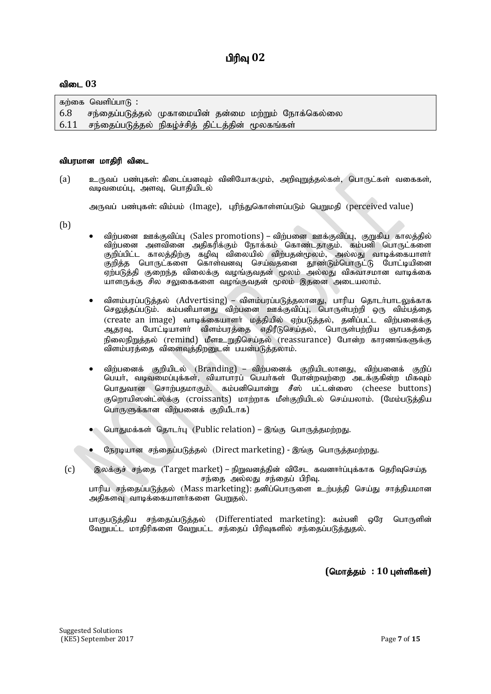கற்கை வெளிப்பா $f$  :  $6.8$  சந்தைப்படுத்தல் முகாமையின் தன்மை மற்றும் நோக்கெல்லை  $6.11$  சந்தைப்படுத்தல் நிகழ்ச்சித் திட்டத்தின் மூலகங்கள்

#### விபரமான மாதிரி விடை

(a) உருவப் பண்புகள்: கிடைப்பனவும் வினியோகமும், அறிவுறுத்தல்கள், பொருட்கள் வகைகள், வடிவமைப்பு, அளவு, பொதியிடல்

அருவப் பண்புகள்: விம்பம் (Image), புரிந்துகொள்ளப்படும் பெறுமதி (perceived value)

- (b)
- $\bullet$  விற்பனை ஊக்குவிப்பு (Sales promotions) விற்பனை ஊக்குவிப்பு, குறுகிய காலத்தில் விற்பனை அளவினை அதிகரிக்கும் நோக்கம் கொண்டதாகும். கம்பனி பொருட்களை குறிப்பிட்ட காலத்திற்கு கழிவு விலையில் விற்பதன்மூலம், அல்லது வாடிக்கையாளர் குறித்த பொருட்களை கொள்வனவு செய்வதனை தூண்டும்பொருட்டு போட்டியினை ஏற்படுத்தி குறைந்த விலைக்கு வழங்குவதன் மூலம் அல்லது விசுவாசமான வாடிக்கை யாளருக்கு சில சலுகைகளை வழங்குவதன் மூலம் இதனை அடையலாம்.
- விளம்பரப்படுத்தல் (Advertising) விளம்பரப்படுத்தலானது, பாரிய தொடர்பாடலுக்காக செலுத்தப்படும். கம்பனியானது விற்பனை ஊக்குவிப்பு, பொருள்பற்றி ஒரு விம்பத்தை (create an image) வாடிக்கையாளா் மத்தியில் ஏற்படுத்தல், தனிப்பட்ட விற்பனைக்கு<br>ஆதரவு, போட்டியாளா் விளம்பரத்தை எதிரீடுசெய்தல், பொருள்பற்றிய ஞாபகத்தை ் எதிரீடுசெய்தல், பொருள்பற்றிய ஞாபகத்தை நிலைநிறுத்தல் (remind) மீளஉறுதிசெய்தல் (reassurance) போன்ற காரணங்களுக்கு விளம்பரத்தை விளைவுத்திறனுடன் பயன்படுத்தலாம்.
- விற்பனைக் குறியிடல் (Branding) விற்பனைக் குறியிடலானது, விற்பனைக் குறிப் பெயர், வடிவமைப்புக்கள், வியாபாரப் பெயர்கள் போன்றவற்றை அடக்குகின்ற மிகவும் பொதுவான சொற்பதமாகும். கம்பனியொன்று சீஸ் பட்டன்ஸை (cheese buttons) குறொயிஸன்ட்ஸ்க்கு (croissants) மாற்றாக மீள்குறியிடல் செய்யலாம். (மேம்படுத்திய பொருளுக்கான விற்பனைக் குறியீடாக)
- பொதுமக்கள் தொடர்பு (Public relation) இங்கு பொருத்தமற்றது.
- நேரடியான சந்தைப்படுத்தல் (Direct marketing) இங்கு பொருத்தமற்றது.
- $(c)$  இலக்குச் சந்தை (Target market) நிறுவனத்தின் விசேட கவனார்ப்புக்காக தெரிவுசெய்த சந்தை அல்லது சந்தைப் பிரிவு.

பாரிய சந்தைப்படுத்தல் (Mass marketing): தனிப்பொருளை உற்பத்தி செய்து சாத்தியமான அதிகளவு வாடிக்கையாளர்களை பெறுதல்.

பாகுபடுத்திய சந்தைப்படுத்தல் (Differentiated marketing): கம்பனி ஒரே பொருளின் வேறுபட்ட மாதிரிகளை வேறுபட்ட சந்தைப் பிரிவுகளில் சந்தைப்படுத்துதல்.

 $($ மொத்தம் : 10 புள்ளிகள்)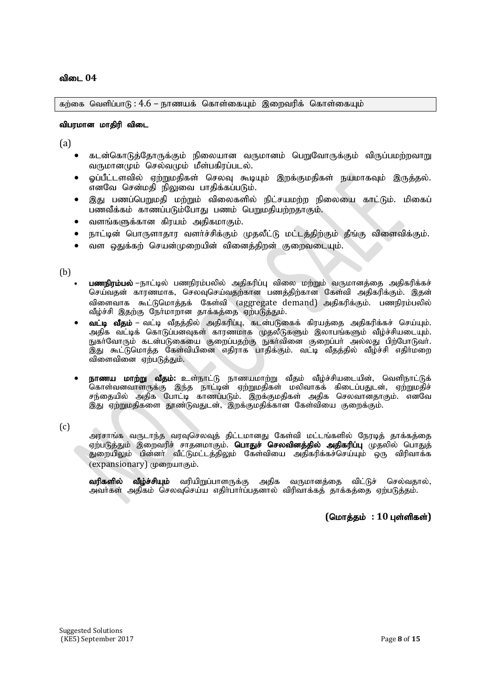$\pi$ ற்கை வெளிப்பாடு :  $4.6$  – நாணயக் கொள்கையும் இறைவரிக் கொள்கையும்

#### விபரமான மாகிரி விடை

(a)

- கடன்கொடுத்தோருக்கும் நிலையான வருமானம் பெறுவோருக்கும் விருப்பமற்றவாறு வருமானமும் செல்வமும் மீள்பகிரப்படல்.
- $\bullet$  ஒப்பீட்டளவில் ஏற்றுமதிகள் செலவு கூடியும் இறக்குமதிகள் நயமாகவும் இருத்தல். எனவே சென்மதி நிலுவை பாதிக்கப்படும்.
- இது பணப்பெறுமதி மற்றும் விலைகளில் நிட்சயமற்ற நிலையை காட்டும். மிகைப் பணவீக்கம் காணப்படும்போது பணம் பெறுமதியற்றதாகும்.
- $\bullet$  வளங்களுக்கான கிாயம் அகிகமாகும்.
- நாட்டின் பொருளாதார வளா்ச்சிக்கும் முதலீட்டு மட்டத்திற்கும் தீங்கு விளைவிக்கும்.
- வள ஒதுக்கற் செயன்முறையின் வினைத்திறன் குறைவடையும்.

(b)

- பணநிரம்பல் –நாட்டில் பணநிரம்பலில் அதிகரிப்பு விலை மற்றும் வருமானத்தை அதிகரிக்கச் செய்வதன் காரணமாக, செலவுசெய்வதற்கான பணத்திற்கான கேள்வி அதிகரிக்கும். இதன் விளைவாக கூட்டுமொக்கக் கேள்வி (aggregate demand) அகிகரிக்கும். பணநிாம்பலில் வீழ்ச்சி இதற்கு நேர்மாறான தாக்கத்தை ஏற்படுத்தும்.
- வட்டி வீதம் வட்டி வீதத்தில் அதிகரிப்பு, கடன்படுகைக் கிரயத்தை அதிகரிக்கச் செய்யும். அதிக வட்டிக் கொடுப்பனவுகள் காரணமாக முதலீடுகளும் இலாபங்களும் வீழ்ச்சியடையும். நுகா்வோரும் கடன்படுகையை குறைப்பதற்கு நுகா்வினை குறைப்பா் அல்லது பிற்போடுவா். ,<br>இது கூட்டுமொத்த கேள்வியினை எதிராக பாதிக்கும். வட்டி வீதத்தில் வீழ்ச்சி எதிர்மறை விளைவினை ஏற்படுத்தும்.
- <mark>நாணய மாற்று வீதம்:</mark> உள்நாட்டு நாணயமாற்று வீதம் வீழ்ச்சியடையின், வெளிநாட்டுக் .<br>கொள்வனவாளருக்கு இந்த நாட்டின் ஏற்றுமதிகள் மலிவாகக் கிடைப்பதுடன், ஏற்றுமதிச் சந்தையில் அதிக போட்டி காணப்படும். இறக்குமதிகள் அதிக செலவானதாகும். எனவே இது ஏற்றுமதிகளை தூண்டுவதுடன், இறக்குமதிக்கான கேள்வியை குறைக்கும்.

(c)

அரசாங்க வருடாந்த வரவுசெலவுத் திட்டமானது கேள்வி மட்டங்களில் நேரடித் தாக்கத்தை ஏற்படுத்தும் இறைவரிச் சாதனமாகும். **பொதுச் செலவினத்தில் அதிகரிப்பு** முதலில் பொதுத் துறையிலும் பின்னா் வீட்டுமட்டத்திலும் கேள்வியை அதிகரிக்கச்செய்யும் ஒரு விரிவாக்க (expansionary) முறையாகும்.

வரிகளில் வீழ்ச்சியும் வரியிறுப்பாளருக்கு அதிக வருமானத்தை விட்டுச் செல்வதால், அவாகள் அதிகம் செலவுசெய்ய எதிா்பாா்ப்பதனால் விரிவாக்கத் தாக்கத்தை ஏற்படுத்தம்.

 $($ மொத்தம் : 10 புள்ளிகள்)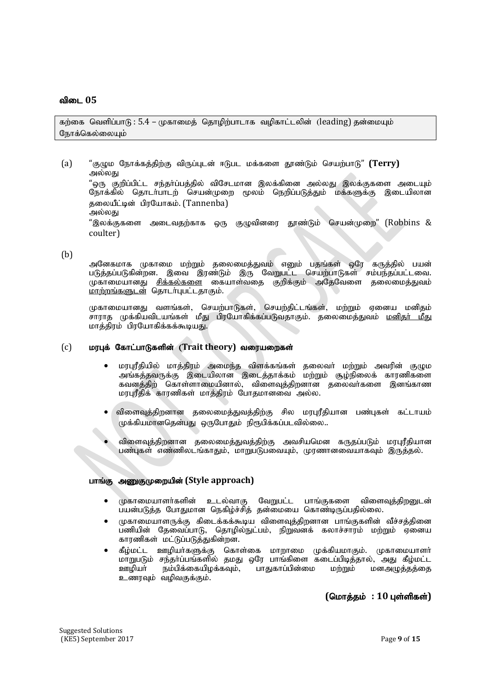கற்கை வெளிப்பாடு $: 5.4$  – முகாமைத் தொழிற்பாடாக வழிகாட்டலின் (leading) தன்மையும் நோக்கெல்லையும்

(a) "குழும நோக்கத்திற்கு விருப்புடன் ஈடுபட மக்களை தூண்டும் செயற்பாடு" **(Terry)** அல்லது "ஒரு குறிப்பிட்ட சந்தா்ப்பத்தில் விசேடமான இலக்கினை அல்லது இலக்குகளை அடையும் நோக்கில் தொடா்பாடற் செயன்முறை மூலம் நெறிப்படுத்தும் மக்களுக்கு இடையிலான தலையீட்டின் பிரயோகம். (Tannenba) அல்லது "இலக்குகளை அடைவதற்காக ஒரு குழுவினரை தூண்டும் செயன்முறை" (Robbins &

#### (b)

coulter)

அனேகமாக முகாமை மற்றும் தலைமைத்துவம் எனும் பதங்கள் ஒரே கருத்தில் பயன் படுத்தப்படுகின்றன. இவை இரண்டும் இரு வேறுபட்ட செயற்பாடுகள் சம்பந்தப்பட்டவை. முகாமையானது <u>சிக்கல்களை</u> கையாள்வதை குறிக்கும் அதேவேளை தலைமைத்துவம்  $prmin$ ங்களுடன் தொடர்புபட்டதாகும்.

ருகாமையானது வளங்கள், செயற்பாடுகள், செயற்கிட்டங்கள், மற்றும் எனைய மனிகம் சாராத முக்கியவிடயங்கள் மீது பிரயோகிக்கப்படுவதாகும். தலைமைத்துவம் <u>மனிதர் மீது</u> மாத்திரம் பிரயோகிக்கக்கூடியது.

#### (c) மரபுக் கோட்பாடுகளின் (Trait theory) வரையறைகள்

- $\bullet$  மரபுரீதியில் மாத்திரம் அமைந்த விளக்கங்கள் தலைவா் மற்றும் அவரின் குழும அங்கத்தவருக்கு இடையிலான இடைத்தாக்கம் மற்றும் சூழ்நிலைக் காரணிகளை கவனத்திற் கொள்ளாமையினால், விளைவுத்திறனான தலைவர்களை இனங்காண மரபுரீதிக் காரணிகள் மாத்திரம் போதமானவை அல்ல.
- விளைவுத்திறனான தலைமைத்துவத்திற்கு சில மரபுரீதியான பண்புகள் கட்டாயம்  $\mu$ க்கியமானதென்பது ஒருபோதும் நிரூபிக்கப்படவில்லை..
- விளைவுத்திறனான தலைமைத்துவத்திற்கு அவசியமென கருதப்படும் மரபுரீதியான பண்புகள் எண்ணிலடங்காதும், மாறுபடுபவையும், முரணானவையாகவும் இருத்தல்.

#### பாங்கு அணுகுமுறையின் (Style approach)

- முகாமையாளர்களின் உடல்வாகு வேறுபட்ட பாங்குகளை விளைவுக்கிறனுடன் பயன்படுத்த போதுமான நெகிழ்ச்சித் தன்மையை கொண்டிருப்பதில்லை.
- முகாமையாளருக்கு கிடைக்கக்கூடிய விளைவுத்திறனான பாங்குகளின் வீச்சத்தினை பணியின் தேவைப்பாடு, தொழில்நுட்பம், நிறுவனக் கலாச்சாரம் மற்றும் ஏனைய காரணிகள் மட்டுப்படுத்துகின்றன.
- கீழ்மட்ட ஊழியா்களுக்கு கொள்கை மாறாமை முக்கியமாகும். முகாமையாளா் மாறுபடும் சந்தா்ப்பங்களில் தமது ஒரே பாங்கிளை கடைப்பிடித்தால், அது கீழ்மட்ட ஊழியா் நம்பிக்கையிழக்கவும், பாதுகாப்பின்மை மற்றும் மனஅழுத்தத்தை உணரவும் வழிவகுக்கும்.

 $($ மொத்தம் : 10 புள்ளிகள்)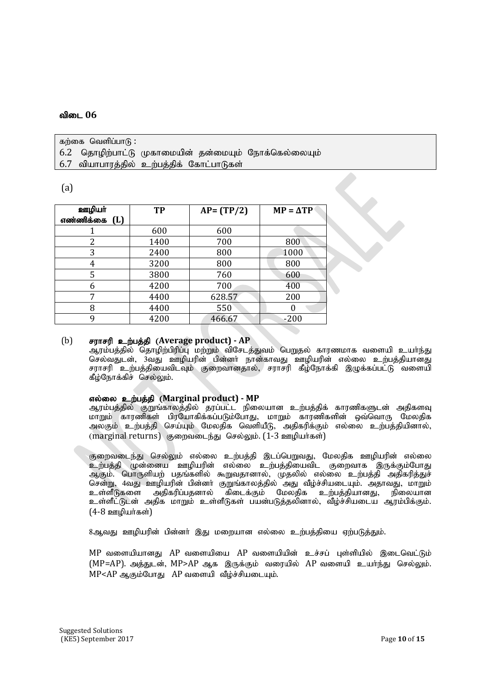கற்கை வெளிப்பா $f$ : 6.2 தொழிற்பாட்டு முகாமையின் தன்மையும் நோக்கெல்லையும்  $6.7$  வியாபாரத்தில் உற்பத்திக் கோட்பாடுகள்

## (a)

| ஊழியா்        | <b>TP</b> | $AP = (TP/2)$ | $MP = \Delta TP$ |
|---------------|-----------|---------------|------------------|
| எண்ணிக்கை (L) |           |               |                  |
|               | 600       | 600           |                  |
| 2             | 1400      | 700           | 800              |
| 3             | 2400      | 800           | 1000             |
| 4             | 3200      | 800           | 800              |
| 5             | 3800      | 760           | 600              |
| 6             | 4200      | 700           | 400              |
| 7             | 4400      | 628.57        | 200              |
| 8             | 4400      | 550           |                  |
| q             | 4200      | 466.67        | $-200$           |

#### (b) சராசரி உற்பத்தி (Average product) - AP

ஆரம்பத்தில் தொழிற்பிரிப்பு மற்றும் விசேடத்துவம் பெறுதல் காரணமாக வளையி உயா்ந்து செல்வதுடன், 3்வது ஊழியரின் பின்னர் நான்காவது ஊழியரின் எல்லை உற்பத்தியானது சராசரி உற்பத்தியைவிடவும் குறைவானதால், சராசரி கீழ்நோக்கி இழுக்கப்பட்டு வளையி கீழ்நோக்கிச் செல்லும்.

## $\sigma$ எல்லை உற்பத்தி (Marginal product) - MP

ஆரம்பத்தில் குறுங்காலத்தில் தரப்பட்ட நிலையான உற்பத்திக் காரணிகளுடன் அதிகளவு மாறும் காரணிகள் பிரயோகிக்கப்படும்போது, மாறும் காரணிகளின் ஒவ்வொரு மேலதிக அலகும் உற்பத்தி செய்யும் மேலதிக வெளியீடு, அதிகரிக்கும் எல்லை உற்பத்தியினால், (marginal returns) குறைவடைந்து செல்லும்.  $(1-3)$  ஊழியர்கள்

குறைவடைந்து செல்லும் எல்லை உற்பக்கி இடப்பெறுவது. மேலகிக ஊமியரின் எல்லை ் உற்பக்கி முன்னைய ஊமியரின் எல்லை உற்பக்கியைவிட குறைவாக இருக்கும்போது ஆகும். பொருளியற் பதங்களில் கூறுவதானால், முதலில் எல்லை உற்பத்தி அதிகரித்துச் சென்று, 4வது ஊழியரின் பின்னா் குறுங்காலத்தில் அது வீழ்ச்சியடையும். அதாவது, மாறும்<br>உள்ளீடுகளை அகிகரிப்பகனால் கிடைக்கும் மேலகிக உற்பக்கியானது. நிலையான ்கிடைக்கும் மேலதிக உற்பத்தியானது, உள்ளீட்டுடன் அதிக மாறும் உள்ளீடுகள் பயன்படுத்தலினால், வீழ்ச்சியடைய ஆரம்பிக்கும்.  $(4-8)$  ஊமியர்கள் $)$ 

8ஆவது ஊழியரின் பின்னர் இது மறையான எல்லை உற்பக்கியை ஏற்படுத்தும்.

 $MP$  வளையியானது  $AP$  வளையியை  $AP$  வளையியின் உச்சப் புள்ளியில் இடைவெட்டும்  $(MP=AP)$ . அத்துடன்,  $MP > AP$  ஆக இருக்கும் வரையில்  $AP$  வளையி உயர்ந்து செல்லும்.  $MP < AP$  ஆகும்போது  $AP$  வளையி வீழ்ச்சியடையும்.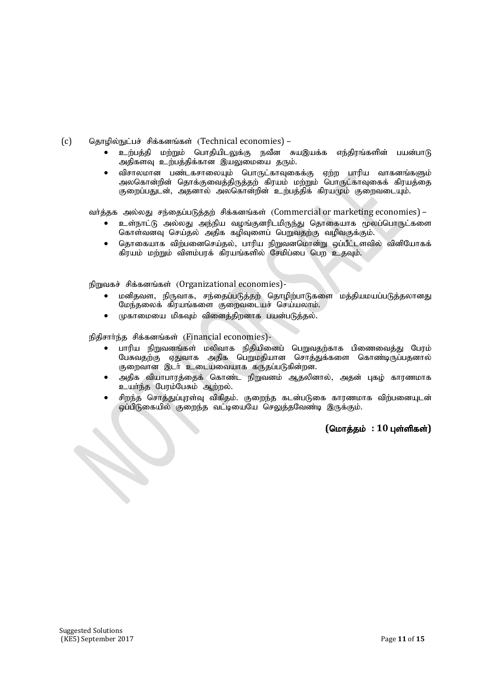(c) தொழில்நுட்பச் சிக்கனங்கள் (Technical economies) –

- உற்பக்கி மற்றும் பொகியிடலுக்கு நவீன சுயஇயக்க எந்கிரங்களின் பயன்பாடு அதிகளவு உற்பத்திக்கான இயலுமையை தரும்.
- விசாலமான பண்டகசாலையும் பொருட்காவுகைக்கு ஏற்ற பாரிய வாகனங்களும் அலகொன்றின் தொக்குவைத்திருத்தற் கிரயம் மற்றும் பொருட்காவகைக் கிரயத்தை குறைப்பதுடன், அதனால் அலகொன்றின் உற்பத்திக் கிரயமும் குறைவடையும்.

வர்த்தக அல்லது சந்தைப்படுத்தற் சிக்கனங்கள் (Commercial or marketing economies) –

- உள்நாட்டு அல்லது அந்நிய வழங்குனரிடமிருந்து தொகையாக மூலப்பொருட்களை கொள்வனவு செய்தல் அதிக கழிவுளைப் பெறுவதற்கு வழிவகுக்கும்.
- தொகையாக விற்பனைசெய்தல், பாரிய நிறுவனமொன்று ஒப்பீட்டளவில் வினியோகக் கிரயம் மற்றும் விளம்பரக் கிரயங்களில் சேமிப்பை பெற உதவும்.

நிறுவகச் சிக்கனங்கள் (Organizational economies)-

- மனிதவள, நிருவாக, சந்தைப்படுத்தற் தொழிற்பாடுகளை மத்தியமயப்படுத்தலானது மேந்தலைக் கிரயங்களை குறைவடையச் செய்யலாம்.
- முகாமையை மிகவும் வினைத்திறனாக பயன்படுத்தல்.

நிதிசார்ந்த சிக்கனங்கள் (Financial economies)-

- பாரிய நிறுவனங்கள் மலிவாக நிதியினைப் பெறுவதற்காக பிணைவைத்து பேரம் பேசுவதற்கு ஏதுவாக அதிக பெறுமதியான சொத்துக்களை கொண்டிருப்பதனால் குறைவான இடர் உடையவையாக கருதப்படுகின்றன.
- அதிக வியாபாரத்தைக் கொண்ட நிறுவனம் ஆதலினால், அதன் புகழ் காரணமாக உயர்ந்த பேரம்பேசும் ஆற்றல்.
- சிறந்த சொத்துப்புரள்வு விகிதம். குறைந்த கடன்படுகை காரணமாக விற்பனையுடன் ஓப்பிடுகையில் குறைந்த வட்டியையே செலுத்தவேண்டி இருக்கும்.

## $($ மொத்தம் : 10 புள்ளிகள்)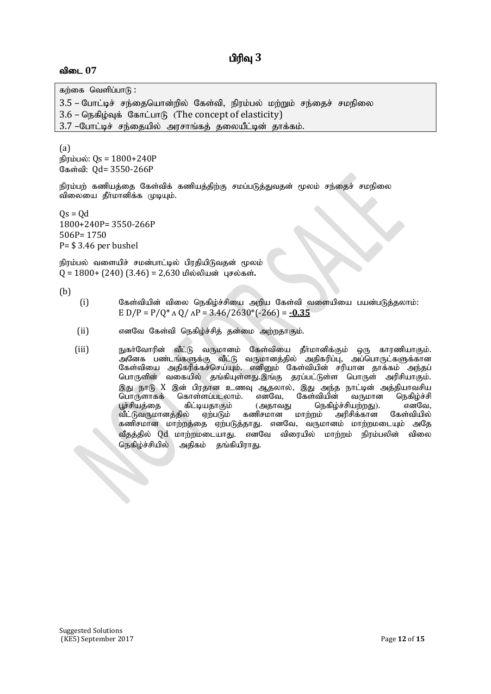கற்கை வெளிப்பா $f$ : 3.5 – போட்டிச் சந்தையொன்றில் கேள்வி, நிரம்பல் மற்றும் சந்தைச் சமநிலை  $3.6$  – நெகிம்வக் கோட்பாடு (The concept of elasticity)

3.7 –போட்டிச் சந்தையில் அரசாங்கத் தலையீட்டின் தாக்கம்.

(a) நிரம்பல்: Qs =  $1800+240P$ கேள்வி: Qd= 3550-266P

நிரம்பற் கணியத்தை கேள்விக் கணியத்திற்கு சமப்படுத்துவதன் மூலம் சந்தைச் சமநிலை விலையை தீா்மானிக்க முடியும்.

 $Qs = Qd$ 1800+240P= 3550-266P 506P= 1750 P= \$ 3.46 per bushel

நிரம்பல் வளையிச் சமன்பாட்டில் பிரதியிடுவதன் மூலம் 0 = 1800+ (240) (3.46) = 2,630 மில்லியன் புசல்கள்.

(b)

- $(i)$  கேள்வியின் விலை நெகிழ்ச்சியை அறிய கேள்வி வளையியை பயன்படுத்தலாம்: E D/P =  $P/Q^* \triangle Q / \triangle P = 3.46/2630^* (-266) = -0.35$
- $(i)$  எனவே கேள்வி நெகிம்ச்சிக் கன்மை அற்றகாகும்.
- (iii) நுகர்வோரின் வீட்டு வருமானம் கேள்வியை தீர்மானிக்கும் ஒரு காரணியாகும். அனேக பண்டங்களுக்கு வீட்டு வருமானத்தில் அதிகரிப்பு, அப்பொருட்களுக்கான கேள்வியை அதிகரிக்கச்செய்யும். எனினும் கேள்வியின் சரியான தாக்கம் அந்தப் பொருளின் வகையில் தங்கியுள்ளது.இங்கு தரப்பட்டுள்ள பொருள் அரிசியாகும். இது நாடு X இன் பிரதான உணவு ஆதலால், இது அந்த நாட்டின் அத்தியாவசிய<br>பொருளாகக் கொள்ளப்படலாம். எனவே, கேள்வியின் வருமான நெகிழ்ச்சி .<br>கொள்ளப்படலாம். எனவே,<br>. கிட்டியதாகும் (அதாவ பூச்சியத்தை கிட்டியதாகும் (அதாவது நெகிழ்ச்சியற்றது). எனவே,<br>வீட்டுவருமானத்தில் ஏற்படும் கணிசமான மாற்றம் அரிசிக்கான கேள்வியில் வீட்டுவருமானத்தில் கணிசமான மாற்றத்தை ஏற்படுத்தாது. எனவே, வருமானம் மாற்றமடையும் அதே வீதத்தில் Qd மாற்றமடையாது. எனவே விரையில் மாற்றம் நிரம்பலின் விலை நெகிழ்ச்சியில் அதிகம் தங்கியிராது.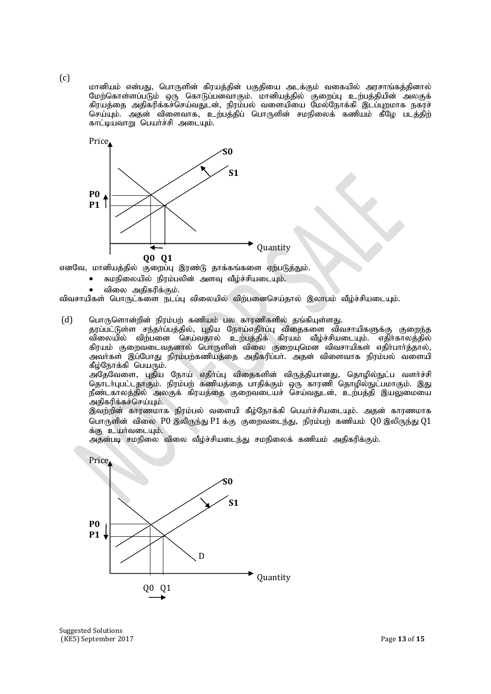$(c)$ 

மானியம் என்பது, பொருளின் கிரயத்தின் பகுதியை அடக்கும் வகையில் அரசாங்கத்தினால் மேற்கொள்ளப்படும் ஒரு கொடுப்பனவாகும். மானியத்தில் குறைப்பு உற்பத்தியின் அலகுக் கிரயத்தை அதிகரிக்கச்செய்வதுடன், நிரம்பல் வளையியை மேல்நோக்கி இடப்புறமாக நகரச் செய்யும். அதன் விளைவாக, உற்பத்திப் பொருளின் சமநிலைக் கணியம் கீழே படத்திற் காட்டியவாறு பெயர்ச்சி அடையும்.



எனவே, மானியத்தில் குறைப்பு இரண்டு தாக்கங்களை ஏற்படுத்தும்.

- சுமநிலையில் நிாம்பலின் அளவ வீம்ச்சியடையம்.
- விலை அகிகரிக்கும்.

விவசாயிகள் பொருட்களை நடப்பு விலையில் விற்பனைசெய்தால் இலாபம் வீழ்ச்சியடையும்.

 $(d)$  பொருளொன்றின் நிரம்பற் கணியம் பல காரணிகளில் தங்கியுள்ளது.

தரப்பட்டுள்ள சந்தாப்பத்தில், புதிய நோய்எதிா்ப்பு விதைகளை விவசாயிகளுக்கு குறைந்த விலையில் விற்பனை செய்வதால் உற்பத்திக் கிரயம் வீழ்ச்சியடையும். எதிர்காலத்தில் கிரயம் குறைவடைவதனால் பொருளின் விலை குறையுமென விவசாயிகள் எதிர்பார்த்தால், அவா்கள் இப்போது நிரம்பற்கணியத்தை அதிகரிப்பா். அதன் விளைவாக நிரம்பல் வளையி கீழ்நோக்கி $\overline{\phantom{a}}$ பெயரும்.

அகேவேளை, புதிய நோய் எதிர்ப்பு விதைகளின் விருத்தியானது, தொழில்நுட்ப வளர்ச்சி தொடா்புபட்டதாகும். நிரம்பற் கணியத்தை பாதிக்கும் ஒரு காரணி தொழில்நுட்பமாகும். இது நீண்டகாலத்தில் அலகுக் கிரயத்தை குறைவடையச் செய்வதுடன், உற்பத்தி இயலுமையை .<br>அதிகரிக்கச்செய்யும்.

இவற்றின் காரணமாக நிரம்பல் வளையி கீழ்நோக்கி பெயர்ச்சியடையும். அதன் காரணமாக பொருளின் விலை  $P0$  இலிருந்து  $P1$  க்கு குறைவடைந்து, நிரம்பற் கணியம்  $Q0$  இலிருந்து  $Q1$ க்கு உயர்வடையும்.

அதன்படி சமநிலை விலை வீழ்ச்சியடைந்து சமநிலைக் கணியம் அதிகரிக்கும்.



Suggested Solutions (KE5) September 2017 Page **13** of **15**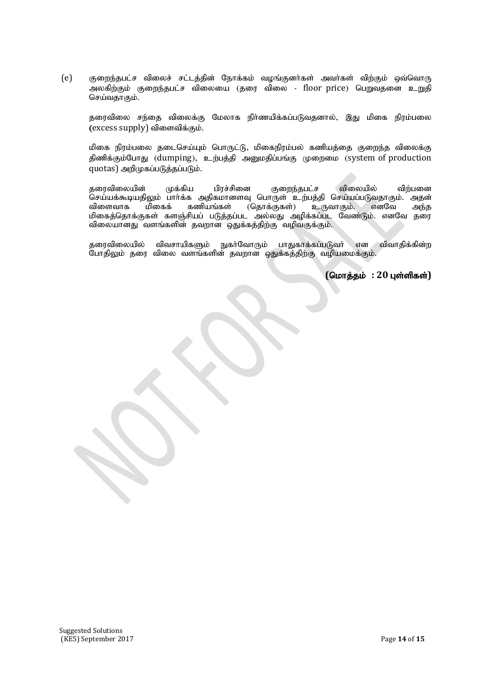(e) குறைந்தபட்ச விலைச் சட்டத்தின் நோக்கம் வழங்குனர்கள் அவர்கள் விற்கும் ஒவ்வொரு அலகிற்கும் குறைந்தபட்ச விலையை (தரை விலை - floor price) பெறுவதனை உறுகி செய்வதாகும்.

தரைவிலை சந்தை விலைக்கு மேலாக நிர்ணயிக்கப்படுவதனால், இது மிகை நிரம்பலை (excess supply) விளைவிக்கும்.

மிகை நிரம்பலை தடைசெய்யும் பொருட்டு, மிகைநிரம்பல் கணியத்தை குறைந்த விலைக்கு திணிக்கும்போது (dumping), உற்பத்தி அனுமதிப்பங்கு முறைமை (system of production  $quotas$ ) அறிமுகப்படுத்தப்படும்.

தரைவிலையின் முக்கிய பிரச்சினை குறைந்தபட்ச விலையில் விற்பனை .<br>செய்யக்கூடியதிலும் பாா்க்க அதிகமானளவு பொருள் உற்பத்தி செய்யப்படுவதாகும். அதன்<br>விளைவாக மிகைக் கணியங்கள் (தொக்குகள்) உருவாகும். எனவே அந்த உருவாகும். எனவே மிகைத்தொக்குகள் களஞ்சியப் படுத்தப்பட அல்லது அழிக்கப்பட வேண்டும். எனவே தரை விலையானது வளங்களின் தவறான ஒதுக்கத்திற்கு வழிவகுக்கும்.

தரைவிலையில் விவசாயிகளும் நுகர்வோரும் பாதுகாக்கப்படுவர் என விவாதிக்கின்ற போதிலும் தரை விலை வளங்களின் தவறான ஒதுக்கத்திற்கு வழியமைக்கும்.

 $($ மொத்தம் : 20 புள்ளிகள்)